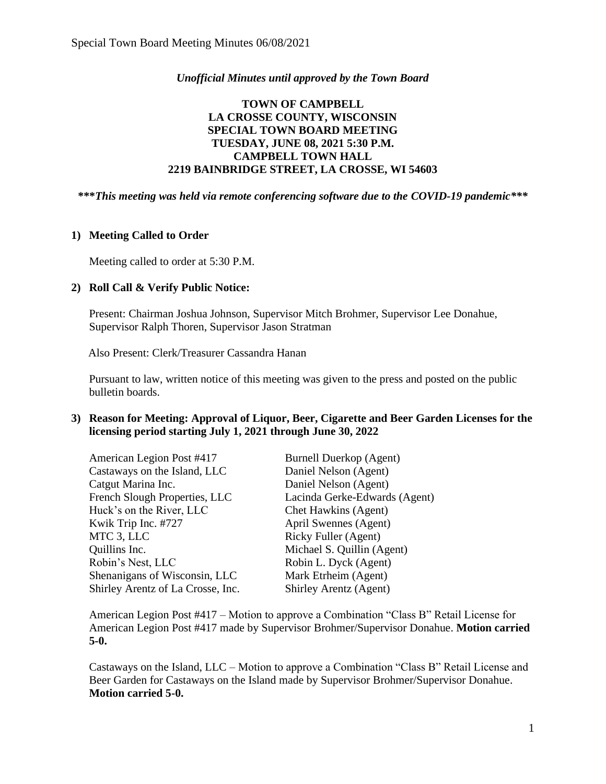## *Unofficial Minutes until approved by the Town Board*

# **TOWN OF CAMPBELL LA CROSSE COUNTY, WISCONSIN SPECIAL TOWN BOARD MEETING TUESDAY, JUNE 08, 2021 5:30 P.M. CAMPBELL TOWN HALL 2219 BAINBRIDGE STREET, LA CROSSE, WI 54603**

**\*\*\****This meeting was held via remote conferencing software due to the COVID-19 pandemic\*\*\**

## **1) Meeting Called to Order**

Meeting called to order at 5:30 P.M.

### **2) Roll Call & Verify Public Notice:**

Present: Chairman Joshua Johnson, Supervisor Mitch Brohmer, Supervisor Lee Donahue, Supervisor Ralph Thoren, Supervisor Jason Stratman

Also Present: Clerk/Treasurer Cassandra Hanan

Pursuant to law, written notice of this meeting was given to the press and posted on the public bulletin boards.

### **3) Reason for Meeting: Approval of Liquor, Beer, Cigarette and Beer Garden Licenses for the licensing period starting July 1, 2021 through June 30, 2022**

| <b>Burnell Duerkop (Agent)</b> |
|--------------------------------|
| Daniel Nelson (Agent)          |
| Daniel Nelson (Agent)          |
| Lacinda Gerke-Edwards (Agent)  |
| Chet Hawkins (Agent)           |
| April Swennes (Agent)          |
| Ricky Fuller (Agent)           |
| Michael S. Quillin (Agent)     |
| Robin L. Dyck (Agent)          |
| Mark Etrheim (Agent)           |
| Shirley Arentz (Agent)         |
|                                |

American Legion Post #417 – Motion to approve a Combination "Class B" Retail License for American Legion Post #417 made by Supervisor Brohmer/Supervisor Donahue. **Motion carried 5-0.**

Castaways on the Island, LLC – Motion to approve a Combination "Class B" Retail License and Beer Garden for Castaways on the Island made by Supervisor Brohmer/Supervisor Donahue. **Motion carried 5-0.**